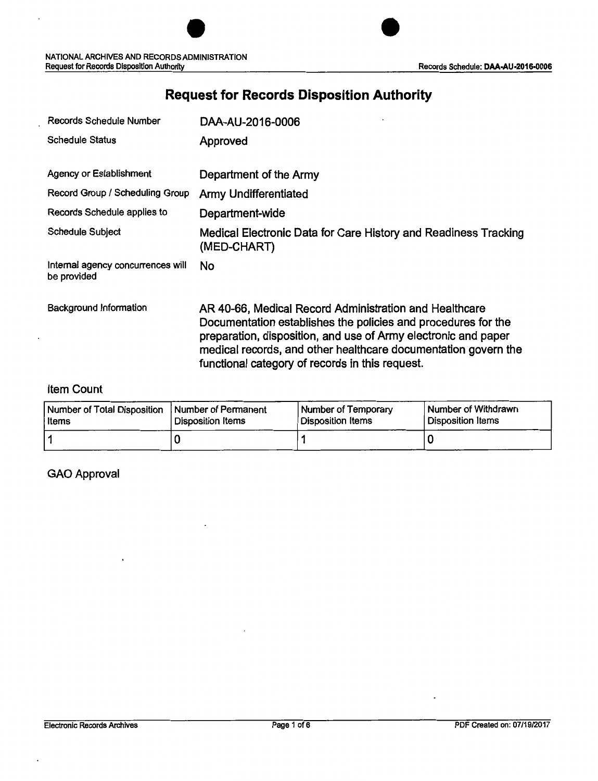## Records Schedule Number DAA-AU-2016-0006 Schedule Status **Approved** Agency or Establishment **Department of the Army** Record Group / Scheduling Group Army Undifferentiated Records Schedule applies to Department-wide Schedule Subject Medical Electronic Data for Care History and Readiness Tracking (MED-CHART) Internal agency concurrences will No be provided Background Information **AR 40-66, Medical Record Administration and Healthcare** Documentation establishes the policies and procedures for the preparation, disposition, and use of Army electronic and paper medical records, and other healthcare documentation govern the functional category of records in this request.

### **Request for Records Disposition Authority**

#### Item Count

| Number of Total Disposition   Number of Permanent | Disposition Items | Number of Temporary | Number of Withdrawn |
|---------------------------------------------------|-------------------|---------------------|---------------------|
| Items                                             |                   | Disposition Items   | Disposition Items   |
|                                                   |                   |                     |                     |

#### GAO Approval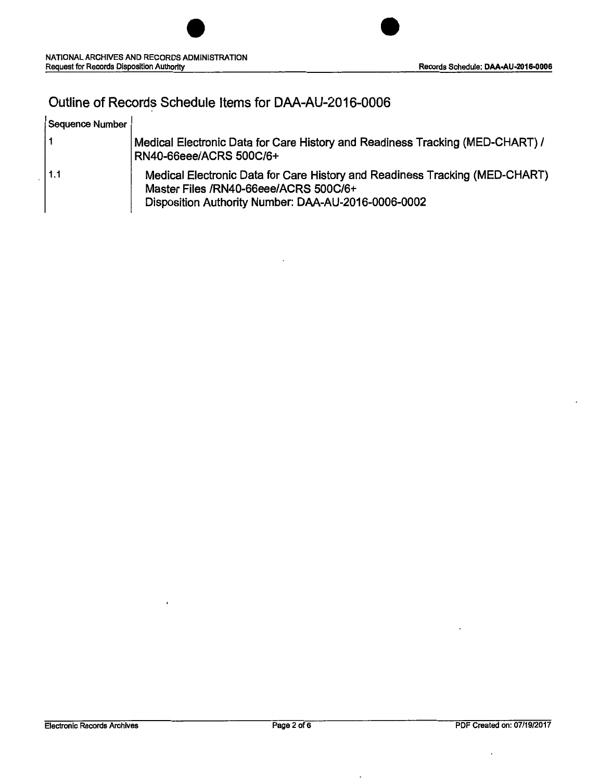$\overline{a}$ 

### Outline of Records Schedule Items for DAA-AU-2016-0006

| Sequence Number |                                                                                                                                                                             |
|-----------------|-----------------------------------------------------------------------------------------------------------------------------------------------------------------------------|
|                 | Medical Electronic Data for Care History and Readiness Tracking (MED-CHART) /<br>RN40-66eee/ACRS 500C/6+                                                                    |
| 1.1             | Medical Electronic Data for Care History and Readiness Tracking (MED-CHART)<br>Master Files /RN40-66eee/ACRS 500C/6+<br>Disposition Authority Number: DAA-AU-2016-0006-0002 |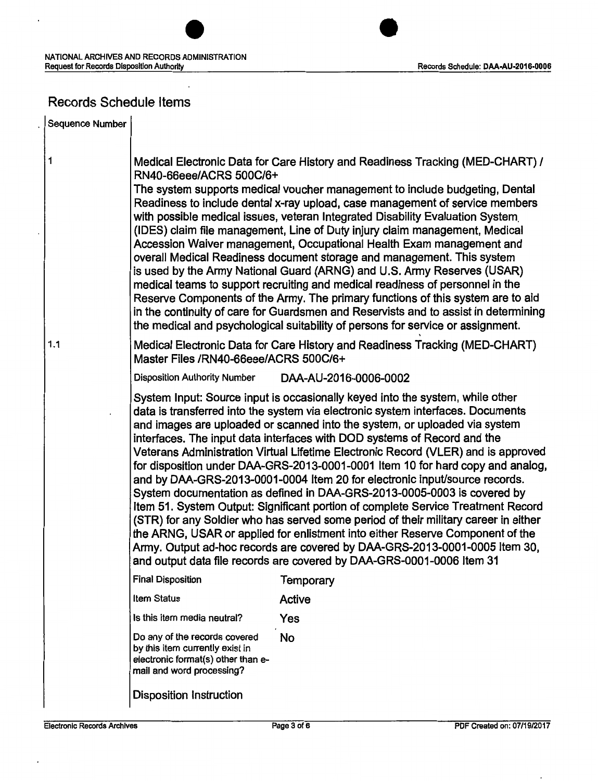J.



### Records Schedule Items

| Sequence Number |                                                                                                                                                                                                                                                                                                                                                                                                                                                                                                                                                                                                                                                                                                                                                                                                                                                                                                                                                                                                                                                                               |                       |  |  |
|-----------------|-------------------------------------------------------------------------------------------------------------------------------------------------------------------------------------------------------------------------------------------------------------------------------------------------------------------------------------------------------------------------------------------------------------------------------------------------------------------------------------------------------------------------------------------------------------------------------------------------------------------------------------------------------------------------------------------------------------------------------------------------------------------------------------------------------------------------------------------------------------------------------------------------------------------------------------------------------------------------------------------------------------------------------------------------------------------------------|-----------------------|--|--|
| $\mathbf{1}$    | Medical Electronic Data for Care History and Readiness Tracking (MED-CHART) /<br>RN40-66eee/ACRS 500C/6+<br>The system supports medical voucher management to include budgeting, Dental<br>Readiness to include dental x-ray upload, case management of service members<br>with possible medical issues, veteran Integrated Disability Evaluation System<br>(IDES) claim file management, Line of Duty injury claim management, Medical<br>Accession Waiver management, Occupational Health Exam management and<br>overall Medical Readiness document storage and management. This system<br>is used by the Army National Guard (ARNG) and U.S. Army Reserves (USAR)<br>medical teams to support recruiting and medical readiness of personnel in the<br>Reserve Components of the Army. The primary functions of this system are to aid<br>in the continuity of care for Guardsmen and Reservists and to assist in determining<br>the medical and psychological suitability of persons for service or assignment.                                                            |                       |  |  |
| 1.1             | Medical Electronic Data for Care History and Readiness Tracking (MED-CHART)<br>Master Files /RN40-66eee/ACRS 500C/6+                                                                                                                                                                                                                                                                                                                                                                                                                                                                                                                                                                                                                                                                                                                                                                                                                                                                                                                                                          |                       |  |  |
|                 | <b>Disposition Authority Number</b>                                                                                                                                                                                                                                                                                                                                                                                                                                                                                                                                                                                                                                                                                                                                                                                                                                                                                                                                                                                                                                           | DAA-AU-2016-0006-0002 |  |  |
|                 | System Input: Source input is occasionally keyed into the system, while other<br>data is transferred into the system via electronic system interfaces. Documents<br>and images are uploaded or scanned into the system, or uploaded via system<br>interfaces. The input data interfaces with DOD systems of Record and the<br>Veterans Administration Virtual Lifetime Electronic Record (VLER) and is approved<br>for disposition under DAA-GRS-2013-0001-0001 Item 10 for hard copy and analog,<br>and by DAA-GRS-2013-0001-0004 Item 20 for electronic input/source records.<br>System documentation as defined in DAA-GRS-2013-0005-0003 is covered by<br>Item 51. System Output: Significant portion of complete Service Treatment Record<br>(STR) for any Soldier who has served some period of their military career in either<br>the ARNG, USAR or applied for enlistment into either Reserve Component of the<br>Army. Output ad-hoc records are covered by DAA-GRS-2013-0001-0005 Item 30,<br>and output data file records are covered by DAA-GRS-0001-0006 Item 31 |                       |  |  |
|                 | <b>Final Disposition</b>                                                                                                                                                                                                                                                                                                                                                                                                                                                                                                                                                                                                                                                                                                                                                                                                                                                                                                                                                                                                                                                      | Temporary             |  |  |
|                 | Item Status                                                                                                                                                                                                                                                                                                                                                                                                                                                                                                                                                                                                                                                                                                                                                                                                                                                                                                                                                                                                                                                                   | <b>Active</b>         |  |  |
|                 | Is this item media neutral?                                                                                                                                                                                                                                                                                                                                                                                                                                                                                                                                                                                                                                                                                                                                                                                                                                                                                                                                                                                                                                                   | Yes                   |  |  |
|                 | Do any of the records covered<br>by this item currently exist in<br>electronic format(s) other than e-<br>mail and word processing?                                                                                                                                                                                                                                                                                                                                                                                                                                                                                                                                                                                                                                                                                                                                                                                                                                                                                                                                           | No                    |  |  |
|                 | <b>Disposition Instruction</b>                                                                                                                                                                                                                                                                                                                                                                                                                                                                                                                                                                                                                                                                                                                                                                                                                                                                                                                                                                                                                                                |                       |  |  |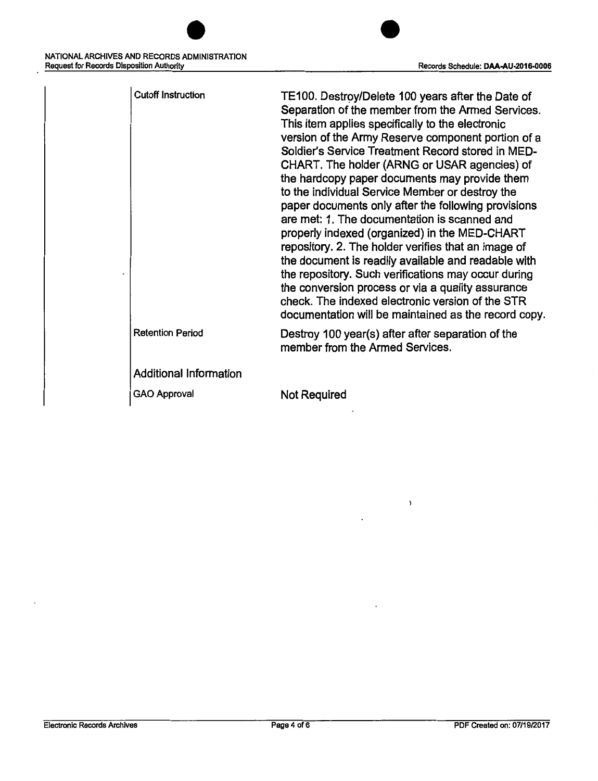| <b>Cutoff Instruction</b>     | TE100. Destroy/Delete 100 years after the Date of<br>Separation of the member from the Armed Services.<br>This item applies specifically to the electronic<br>version of the Army Reserve component portion of a<br>Soldier's Service Treatment Record stored in MED-<br>CHART. The holder (ARNG or USAR agencies) of<br>the hardcopy paper documents may provide them<br>to the individual Service Member or destroy the<br>paper documents only after the following provisions<br>are met: 1. The documentation is scanned and<br>properly indexed (organized) in the MED-CHART<br>repository. 2. The holder verifies that an image of<br>the document is readily available and readable with<br>the repository. Such verifications may occur during<br>the conversion process or via a quality assurance<br>check. The indexed electronic version of the STR<br>documentation will be maintained as the record copy. |
|-------------------------------|-------------------------------------------------------------------------------------------------------------------------------------------------------------------------------------------------------------------------------------------------------------------------------------------------------------------------------------------------------------------------------------------------------------------------------------------------------------------------------------------------------------------------------------------------------------------------------------------------------------------------------------------------------------------------------------------------------------------------------------------------------------------------------------------------------------------------------------------------------------------------------------------------------------------------|
| <b>Retention Period</b>       | Destroy 100 year(s) after after separation of the<br>member from the Armed Services.                                                                                                                                                                                                                                                                                                                                                                                                                                                                                                                                                                                                                                                                                                                                                                                                                                    |
| <b>Additional Information</b> |                                                                                                                                                                                                                                                                                                                                                                                                                                                                                                                                                                                                                                                                                                                                                                                                                                                                                                                         |
| GAO Approval                  | <b>Not Required</b>                                                                                                                                                                                                                                                                                                                                                                                                                                                                                                                                                                                                                                                                                                                                                                                                                                                                                                     |
|                               |                                                                                                                                                                                                                                                                                                                                                                                                                                                                                                                                                                                                                                                                                                                                                                                                                                                                                                                         |

 $\lambda$